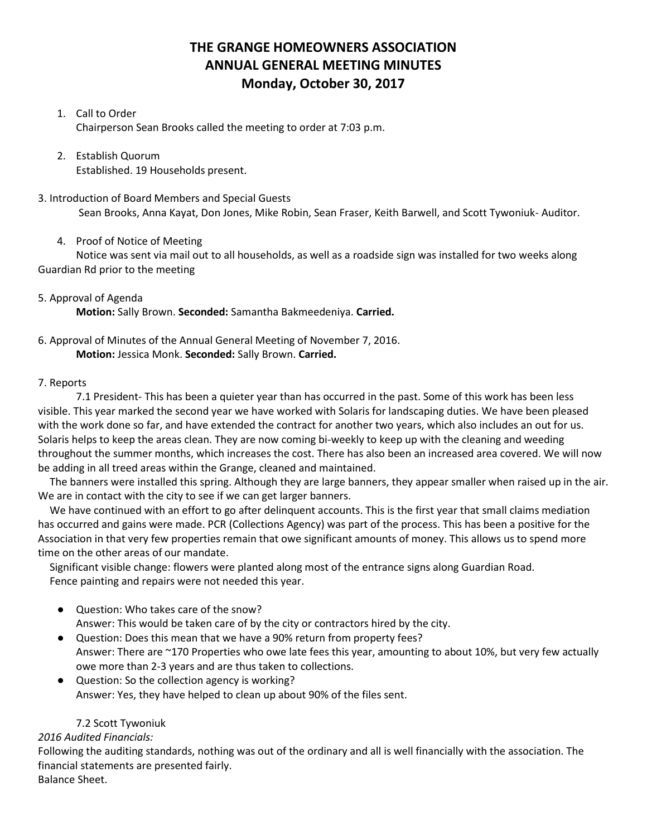# **THE GRANGE HOMEOWNERS ASSOCIATION ANNUAL GENERAL MEETING MINUTES Monday, October 30, 2017**

# 1. Call to Order

Chairperson Sean Brooks called the meeting to order at 7:03 p.m.

#### 2. Establish Quorum Established. 19 Households present.

3. Introduction of Board Members and Special Guests Sean Brooks, Anna Kayat, Don Jones, Mike Robin, Sean Fraser, Keith Barwell, and Scott Tywoniuk- Auditor.

#### 4. Proof of Notice of Meeting

Notice was sent via mail out to all households, as well as a roadside sign was installed for two weeks along Guardian Rd prior to the meeting

# 5. Approval of Agenda

**Motion:** Sally Brown. **Seconded:** Samantha Bakmeedeniya. **Carried.**

#### 6. Approval of Minutes of the Annual General Meeting of November 7, 2016. **Motion:** Jessica Monk. **Seconded:** Sally Brown. **Carried.**

#### 7. Reports

7.1 President- This has been a quieter year than has occurred in the past. Some of this work has been less visible. This year marked the second year we have worked with Solaris for landscaping duties. We have been pleased with the work done so far, and have extended the contract for another two years, which also includes an out for us. Solaris helps to keep the areas clean. They are now coming bi-weekly to keep up with the cleaning and weeding throughout the summer months, which increases the cost. There has also been an increased area covered. We will now be adding in all treed areas within the Grange, cleaned and maintained.

The banners were installed this spring. Although they are large banners, they appear smaller when raised up in the air. We are in contact with the city to see if we can get larger banners.

We have continued with an effort to go after delinquent accounts. This is the first year that small claims mediation has occurred and gains were made. PCR (Collections Agency) was part of the process. This has been a positive for the Association in that very few properties remain that owe significant amounts of money. This allows us to spend more time on the other areas of our mandate.

Significant visible change: flowers were planted along most of the entrance signs along Guardian Road. Fence painting and repairs were not needed this year.

● Question: Who takes care of the snow?

Answer: This would be taken care of by the city or contractors hired by the city.

- Question: Does this mean that we have a 90% return from property fees? Answer: There are ~170 Properties who owe late fees this year, amounting to about 10%, but very few actually owe more than 2-3 years and are thus taken to collections.
- Question: So the collection agency is working? Answer: Yes, they have helped to clean up about 90% of the files sent.

### 7.2 Scott Tywoniuk

### *2016 Audited Financials:*

Following the auditing standards, nothing was out of the ordinary and all is well financially with the association. The financial statements are presented fairly.

Balance Sheet.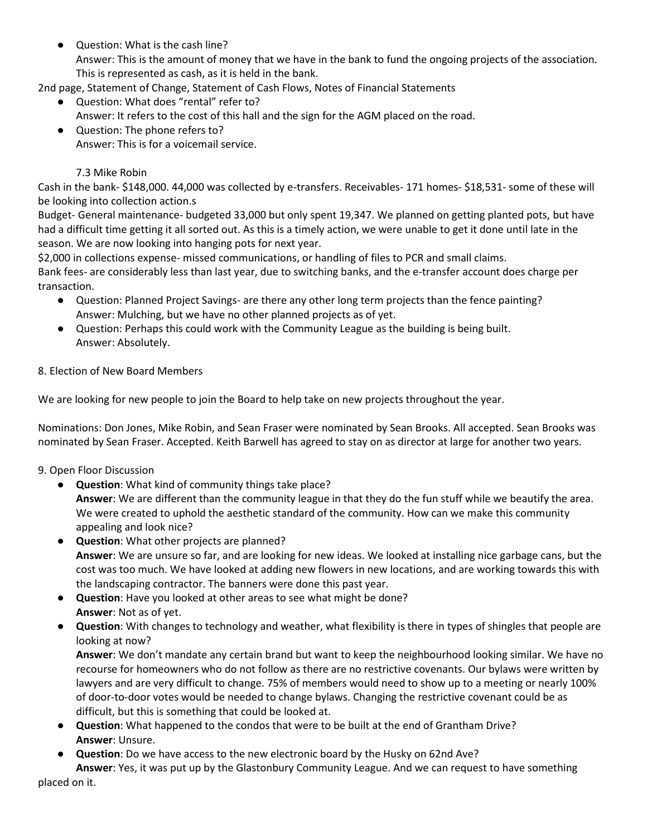Question: What is the cash line? Answer: This is the amount of money that we have in the bank to fund the ongoing projects of the association. This is represented as cash, as it is held in the bank.

2nd page, Statement of Change, Statement of Cash Flows, Notes of Financial Statements

- Question: What does "rental" refer to? Answer: It refers to the cost of this hall and the sign for the AGM placed on the road.
- Question: The phone refers to? Answer: This is for a voicemail service.

# 7.3 Mike Robin

Cash in the bank- \$148,000. 44,000 was collected by e-transfers. Receivables- 171 homes- \$18,531- some of these will be looking into collection action.s

Budget- General maintenance- budgeted 33,000 but only spent 19,347. We planned on getting planted pots, but have had a difficult time getting it all sorted out. As this is a timely action, we were unable to get it done until late in the season. We are now looking into hanging pots for next year.

\$2,000 in collections expense- missed communications, or handling of files to PCR and small claims.

Bank fees- are considerably less than last year, due to switching banks, and the e-transfer account does charge per transaction.

- Question: Planned Project Savings- are there any other long term projects than the fence painting? Answer: Mulching, but we have no other planned projects as of yet.
- Question: Perhaps this could work with the Community League as the building is being built. Answer: Absolutely.

# 8. Election of New Board Members

We are looking for new people to join the Board to help take on new projects throughout the year.

Nominations: Don Jones, Mike Robin, and Sean Fraser were nominated by Sean Brooks. All accepted. Sean Brooks was nominated by Sean Fraser. Accepted. Keith Barwell has agreed to stay on as director at large for another two years.

### 9. Open Floor Discussion

● **Question**: What kind of community things take place?

**Answer**: We are different than the community league in that they do the fun stuff while we beautify the area. We were created to uphold the aesthetic standard of the community. How can we make this community appealing and look nice?

- **Question**: What other projects are planned? **Answer**: We are unsure so far, and are looking for new ideas. We looked at installing nice garbage cans, but the cost was too much. We have looked at adding new flowers in new locations, and are working towards this with the landscaping contractor. The banners were done this past year.
- **Question**: Have you looked at other areas to see what might be done? **Answer**: Not as of yet.
- **Question**: With changes to technology and weather, what flexibility is there in types of shingles that people are looking at now?

**Answer**: We don't mandate any certain brand but want to keep the neighbourhood looking similar. We have no recourse for homeowners who do not follow as there are no restrictive covenants. Our bylaws were written by lawyers and are very difficult to change. 75% of members would need to show up to a meeting or nearly 100% of door-to-door votes would be needed to change bylaws. Changing the restrictive covenant could be as difficult, but this is something that could be looked at.

- **Question**: What happened to the condos that were to be built at the end of Grantham Drive? **Answer**: Unsure.
- **Question**: Do we have access to the new electronic board by the Husky on 62nd Ave?

**Answer**: Yes, it was put up by the Glastonbury Community League. And we can request to have something placed on it.